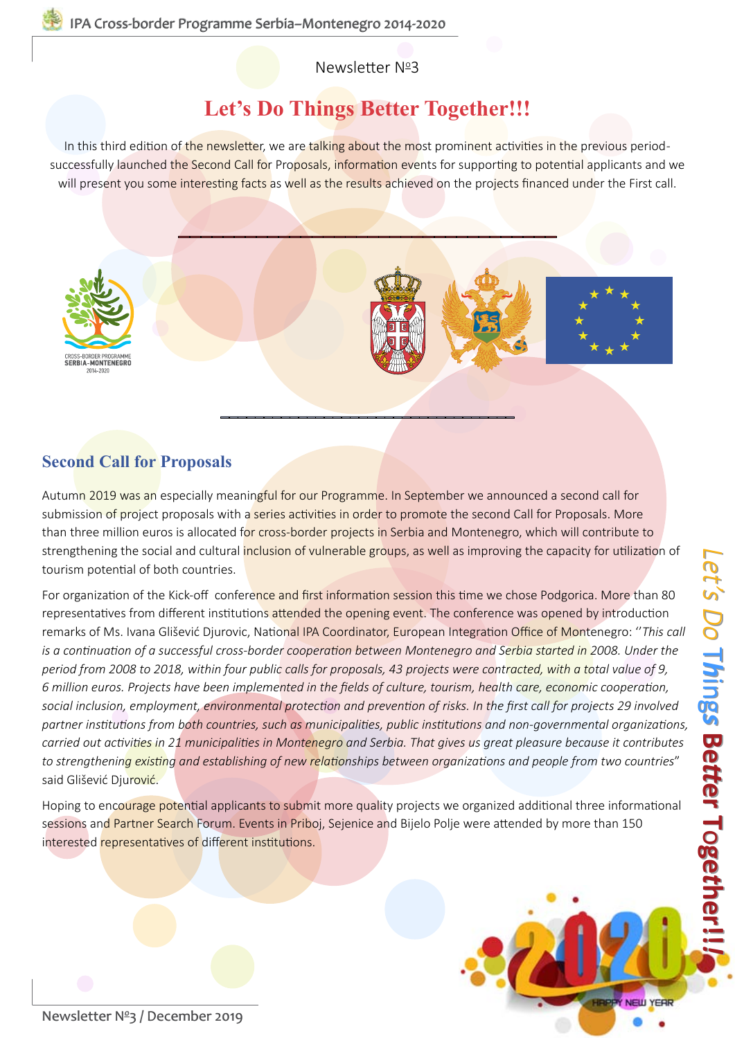Newsletter Nº3

### **Let's Do Things Better Together!!!**

In this third edition of the newsletter, we are talking about the most prominent activities in the previous periodsuccessfully launched the Second Call for Proposals, information events for supporting to potential applicants and we will present you some interesting facts as well as the results achieved on the projects financed under the First call.



#### **Second Call for Proposals**

Autumn 2019 was an especially meaningful for our Programme. In September we announced a second call for submission of project proposals with a series activities in order to promote the second Call for Proposals. More than three million euros is allocated for cross-border projects in Serbia and Montenegro, which will contribute to strengthening the social and cultural inclusion of vulnerable groups, as well as improving the capacity for utilization of tourism potential of both countries.

For organization of the Kick-off conference and first information session this time we chose Podgorica. More than 80 representatives from different institutions attended the opening event. The conference was opened by introduction remarks of Ms. Ivana Glišević Djurovic, National IPA Coordinator, European Integration Office of Montenegro: ''*This call is a continuation of a successful cross-border cooperation between Montenegro and Serbia started in 2008. Under the period from 2008 to 2018, within four public calls for proposals, 43 projects were contracted, with a total value of 9, 6 million euros. Projects have been implemented in the fields of culture, tourism, health care, economic cooperation, social inclusion, employment, environmental protection and prevention of risks. In the first call for projects 29 involved partner institutions from both countries, such as municipalities, public institutions and non-governmental organizations, carried out activities in 21 municipalities in Montenegro and Serbia. That gives us great pleasure because it contributes to strengthening existing and establishing of new relationships between organizations and people from two countries*" said Glišević Djurović.

Hoping to encourage potential applicants to submit more quality projects we organized additional three informational sessions and Partner Search Forum. Events in Priboj, Sejenice and Bijelo Polje were attended by more than 150 interested representatives of different institutions.



*[Let's Do](http://cbcsrb-mne.org)*

Newsletter Nº[3 / December 2019](http://cbcsrb-mne.org)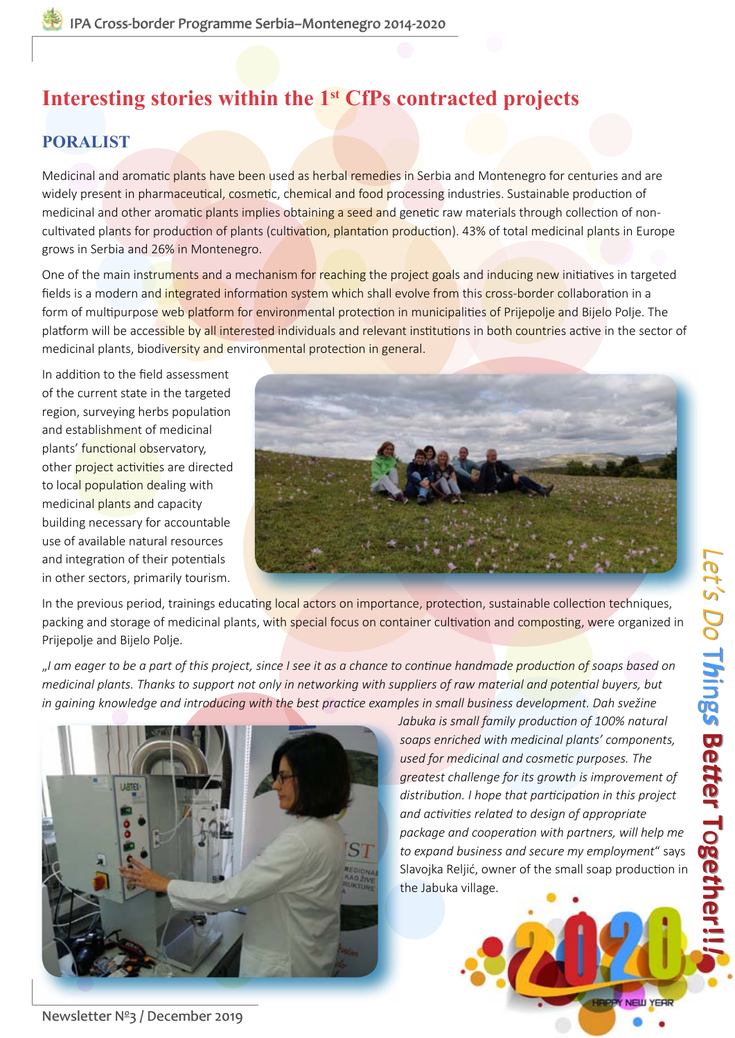### **[PORALIST](https://cbcsrb-mne.org/project/protection-observatory-for-regional-area-of-medicinal-plants-as-lively-cross-border-infrastructure-of-sustainable-tourism-poralist-2/)**

Medicinal and aromatic plants have been used as herbal remedies in Serbia and Montenegro for centuries and are widely present in pharmaceutical, cosmetic, chemical and food processing industries. Sustainable production of medicinal and other aromatic plants implies obtaining a seed and genetic raw materials through collection of noncultivated plants for production of plants (cultivation, plantation production). 43% of total medicinal plants in Europe grows in Serbia and 26% in Montenegro.

One of the main instruments and a mechanism for reaching the project goals and inducing new initiatives in targeted fields is a modern and integrated information system which shall evolve from this cross-border collaboration in a form of multipurpose web platform for environmental protection in municipalities of Prijepolje and Bijelo Polje. The platform will be accessible by all interested individuals and relevant institutions in both countries active in the sector of medicinal plants, biodiversity and environmental protection in general.

In addition to the field assessment of the current state in the targeted region, surveying herbs population and establishment of medicinal plants' functional observatory, other project activities are directed to local population dealing with medicinal plants and capacity building necessary for accountable use of available natural resources and integration of their potentials in other sectors, primarily tourism.



In the previous period, trainings educating local actors on importance, protection, sustainable collection techniques, packing and storage of medicinal plants, with special focus on container cultivation and composting, were organized in Prijepolje and Bijelo Polje.

"*I am eager to be a part of this project, since I see it as a chance to continue handmade production of soaps based on medicinal plants. Thanks to support not only in networking with suppliers of raw material and potential buyers, but in gaining knowledge and introducing with the best practice examples in small business development. Dah svežine* 



*soaps enriched with medicinal plants' components, used for medicinal and cosmetic purposes. The greatest challenge for its growth is improvement of distribution. I hope that participation in this project and activities related to design of appropriate package and cooperation with partners, will help me to expand business and secure my employment*" says Slavojka Reljić, owner of the small soap production in

NEW YEAR



Newsletter Nº[3 / December 2019](http://cbcsrb-mne.org)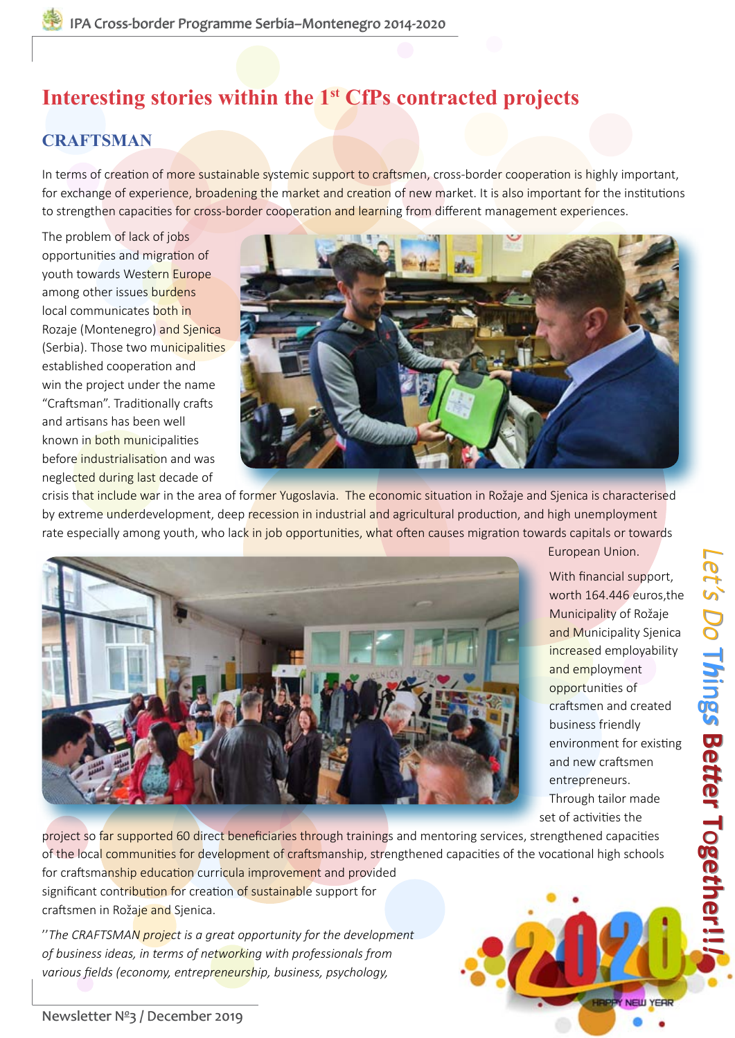### **CRAFTSMAN**

In terms of creation of more sustainable systemic support to craftsmen, cross-border cooperation is highly important, for exchange of experience, broadening the market and creation of new market. It is also important for the institutions to strengthen capacities for cross-border cooperation and learning from different management experiences.

The problem of lack of jobs opportunities and migration of youth towards Western Europe among other issues burdens local communicates both in Rozaje (Montenegro) and Sjenica (Serbia). Those two municipalities established cooperation and win the project under the name "Craftsman". Traditionally crafts and artisans has been well known in both municipalities before industrialisation and was neglected during last decade of



crisis that include war in the area of former Yugoslavia. The economic situation in Rožaje and Sjenica is characterised by extreme underdevelopment, deep recession in industrial and agricultural production, and high unemployment rate especially among youth, who lack in job opportunities, what often causes migration towards capitals or towards



European Union.

With financial support, worth 164.446 euros,the Municipality of Rožaje and Municipality Sjenica increased employability and employment opportunities of craftsmen and created business friendly environment for existing and new craftsmen entrepreneurs. Through tailor made set of activities the

*[Let's Do](http://cbcsrb-mne.org)*

 $\overline{\phantom{a}}$ *h*

 $\overline{\phantom{0}}$ *h*

ing *s*

ing *s*

**Be**

**B**<br>6

**Let's Do Things Better Together!!!** 

*tt*

*tt*

**er T**

**er T**

o**ge** *t*

o**ge** *t*

**[her!!](http://cbcsrb-mne.org)**

**her!!**

*!*

Y NEW YEAR

project so far supported 60 direct beneficiaries through trainings and mentoring services, strengthened capacities of the local communities for development of craftsmanship, strengthened capacities of the vocational high schools for craftsmanship education curricula improvement and provided significant contribution for creation of sustainable support for craftsmen in Rožaje and Sjenica.

''*The CRAFTSMAN project is a great opportunity for the development of business ideas, in terms of networking with professionals from various fields (economy, entrepreneurship, business, psychology,*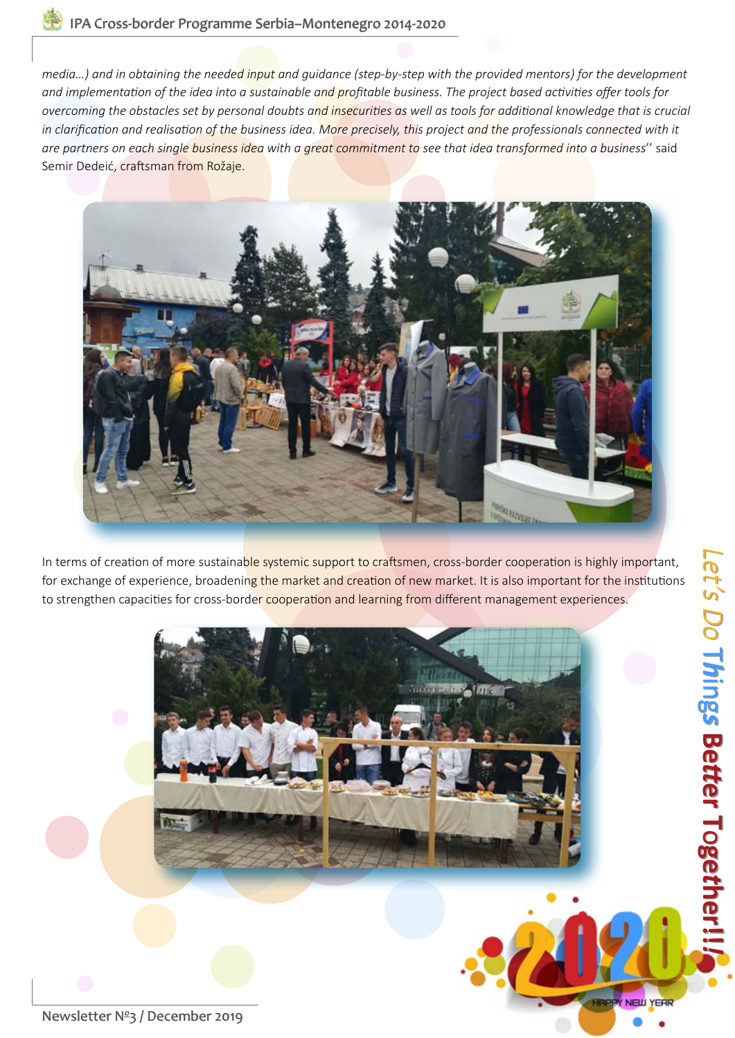*media…) and in obtaining the needed input and guidance (step-by-step with the provided mentors) for the development and implementation of the idea into a sustainable and profitable business. The project based activities offer tools for overcoming the obstacles set by personal doubts and insecurities as well as tools for additional knowledge that is crucial*  in clarification and realisation of the business idea. More precisely, this project and the professionals connected with it *are partners on each single business idea with a great commitment to see that idea transformed into a business*'' said Semir Dedeić, craftsman from Rožaje.



In terms of creation of more sustainable systemic support to craftsmen, cross-border cooperation is highly important, for exchange of experience, broadening the market and creation of new market. It is also important for the institutions to strengthen capacities for cross-border cooperation and learning from different management experiences.



Newsletter Nº[3 / December 2019](http://cbcsrb-mne.org)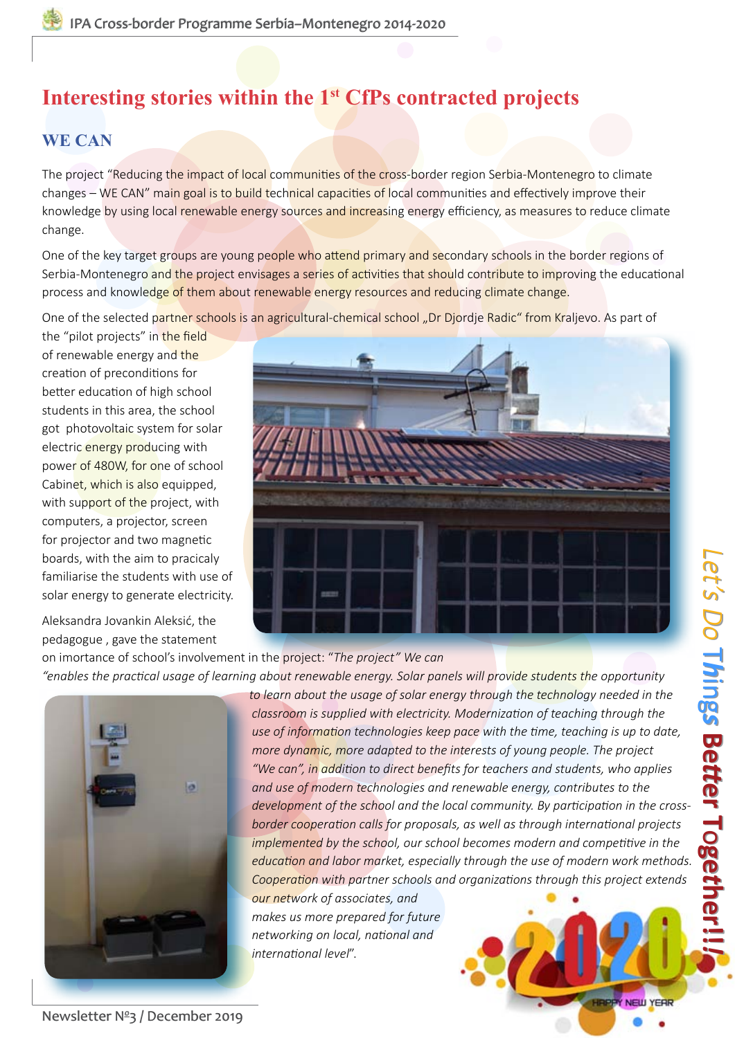#### **[WE CAN](https://cbcsrb-mne.org/project/reducing-impact-of-local-communities-of-the-cross-border-region-serbia-montenegro-to-climate-changes-we-can/)**

The project "Reducing the impact of local communities of the cross-border region Serbia-Montenegro to climate changes – WE CAN" main goal is to build technical capacities of local communities and effectively improve their knowledge by using local renewable energy sources and increasing energy efficiency, as measures to reduce climate change.

One of the key target groups are young people who attend primary and secondary schools in the border regions of Serbia-Montenegro and the project envisages a series of activities that should contribute to improving the educational process and knowledge of them about renewable energy resources and reducing climate change.

One of the selected partner schools is an agricultural-chemical school "Dr Djordje Radic" from Kraljevo. As part of

the "pilot projects" in the field of renewable energy and the creation of preconditions for better education of high school students in this area, the school got photovoltaic system for solar electric energy producing with power of 480W, for one of school Cabinet, which is also equipped, with support of the project, with computers, a projector, screen for projector and two magnetic boards, with the aim to pracicaly familiarise the students with use of solar energy to generate electricity.

Aleksandra Jovankin Aleksić, the pedagogue , gave the statement



on imortance of school's involvement in the project: "*The project" We can* 

ø

*"enables the practical usage of learning about renewable energy. Solar panels will provide students the opportunity to learn about the usage of solar energy through the technology needed in the classroom is supplied with electricity. Modernization of teaching through the use of information technologies keep pace with the time, teaching is up to date, more dynamic, more adapted to the interests of young people. The project "We can", in addition to direct benefits for teachers and students, who applies and use of modern technologies and renewable energy, contributes to the development of the school and the local community. By participation in the crossborder cooperation calls for proposals, as well as through international projects implemented by the school, our school becomes modern and competitive in the education and labor market, especially through the use of modern work methods. Cooperation with partner schools and organizations through this project extends* 

> *our network of associates, and makes us more prepared for future networking on local, national and international level*".

Newsletter Nº[3 / December 2019](http://cbcsrb-mne.org)

NEW YEAR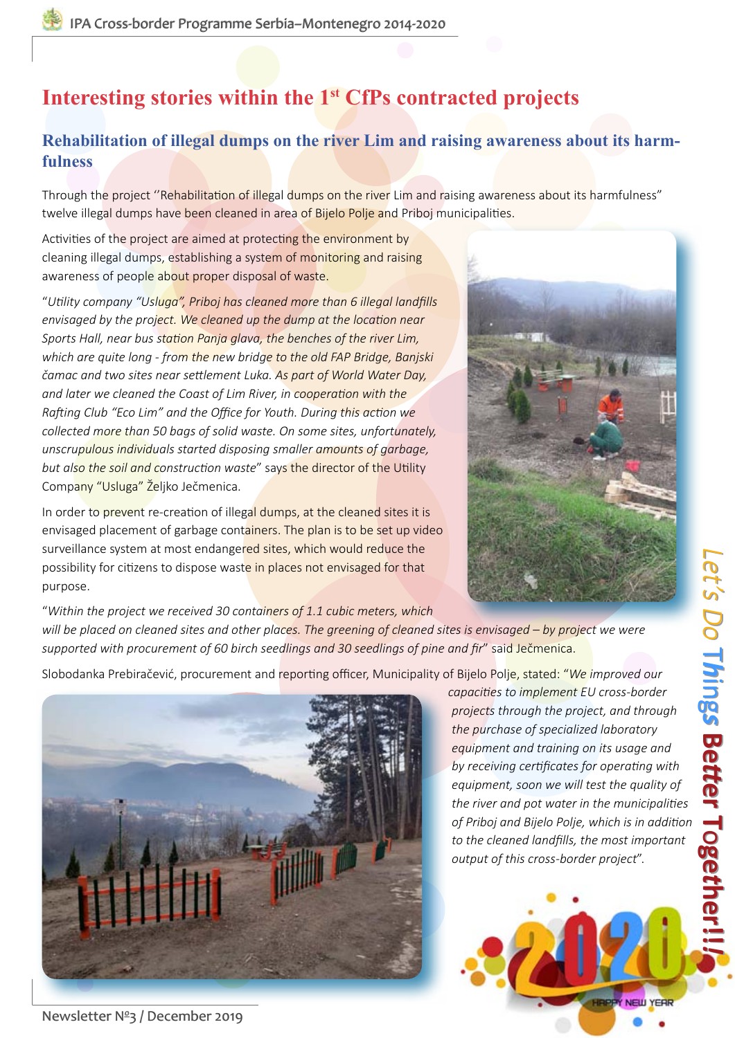#### **Rehabilitation of illegal dumps on the river Lim and raising awareness about its harmfulness**

Through the project "Rehabilitation of illegal dumps on the river Lim and raising awareness about its harmfulness" twelve illegal dumps have been cleaned in area of Bijelo Polje and Priboj municipalities.

Activities of the project are aimed at protecting the environment by cleaning illegal dumps, establishing a system of monitoring and raising awareness of people about proper disposal of waste.

"*Utility company "Usluga", Priboj has cleaned more than 6 illegal landfills envisaged by the project. We cleaned up the dump at the location near Sports Hall, near bus station Panja glava, the benches of the river Lim, which are quite long - from the new bridge to the old FAP Bridge, Banjski čamac and two sites near settlement Luka. As part of World Water Day, and later we cleaned the Coast of Lim River, in cooperation with the Rafting Club "Eco Lim" and the Office for Youth. During this action we collected more than 50 bags of solid waste. On some sites, unfortunately, unscrupulous individuals started disposing smaller amounts of garbage, but also the soil and construction waste*" says the director of the Utility Company "Usluga" Željko Ječmenica.

In order to prevent re-creation of illegal dumps, at the cleaned sites it is envisaged placement of garbage containers. The plan is to be set up video surveillance system at most endangered sites, which would reduce the possibility for citizens to dispose waste in places not envisaged for that purpose.



*[Let's Do](http://cbcsrb-mne.org)*

 $\overline{\phantom{a}}$ *h*

 $\overline{\phantom{0}}$ *h*

ing *s*

ing *s*

**Be**

**B**<br>6

**Let's Do Things Better Together!!!** 

*tt*

*tt*

**er T**

**er T**

o**ge** *t*

o**ge** *t*

**[her!!](http://cbcsrb-mne.org)**

**her!!**

*!*

"*Within the project we received 30 containers of 1.1 cubic meters, which will be placed on cleaned sites and other places. The greening of cleaned sites is envisaged – by project we were supported with procurement of 60 birch seedlings and 30 seedlings of pine and fir*" said Ječmenica.

Slobodanka Prebiračević, procurement and reporting officer, Municipality of Bijelo Polje, stated: "*We improved our* 



*capacities to implement EU cross-border projects through the project, and through the purchase of specialized laboratory equipment and training on its usage and by receiving certificates for operating with equipment, soon we will test the quality of the river and pot water in the municipalities of Priboj and Bijelo Polje, which is in addition to the cleaned landfills, the most important output of this cross-border project*".

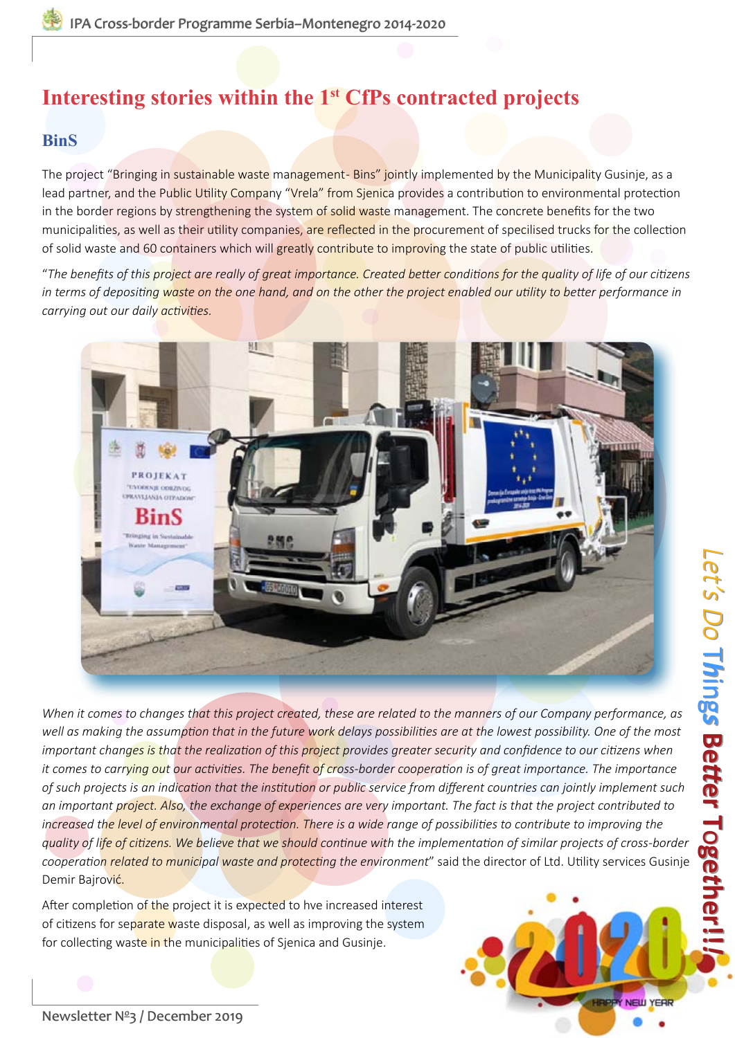#### **[BinS](https://cbcsrb-mne.org/project/bringing-in-sustainable-waste-management-bins/)**

The project "Bringing in sustainable waste management-Bins" jointly implemented by the Municipality Gusinje, as a lead partner, and the Public Utility Company "Vrela" from Sjenica provides a contribution to environmental protection in the border regions by strengthening the system of solid waste management. The concrete benefits for the two municipalities, as well as their utility companies, are reflected in the procurement of specilised trucks for the collection of solid waste and 60 containers which will greatly contribute to improving the state of public utilities.

"*The benefits of this project are really of great importance. Created better conditions for the quality of life of our citizens in terms of depositing waste on the one hand, and on the other the project enabled our utility to better performance in carrying out our daily activities.*



*When it comes to changes that this project created, these are related to the manners of our Company performance, as well as making the assumption that in the future work delays possibilities are at the lowest possibility. One of the most important changes is that the realization of this project provides greater security and confidence to our citizens when it comes to carrying out our activities. The benefit of cross-border cooperation is of great importance. The importance of such projects is an indication that the institution or public service from different countries can jointly implement such an important project. Also, the exchange of experiences are very important. The fact is that the project contributed to increased the level of environmental protection. There is a wide range of possibilities to contribute to improving the quality of life of citizens. We believe that we should continue with the implementation of similar projects of cross-border cooperation related to municipal waste and protecting the environment*" said the director of Ltd. Utility services Gusinje Demir Bajrović.

After completion of the project it is expected to hve increased interest of citizens for separate waste disposal, as well as improving the system for collecting waste in the municipalities of Sjenica and Gusinje.



*[Let's Do](http://cbcsrb-mne.org)*

 $\overline{\phantom{a}}$ *h*

 $\overline{\phantom{0}}$ *h*

ing *s*

ing *s*

**Be**

**B**<br>6

**Let's Do Things Better Together!!!** 

*tt*

*tt*

**er T**

**er T**

o**ge** *t*

o**ge** *t*

**[her!!](http://cbcsrb-mne.org)**

**her!!**

*!*